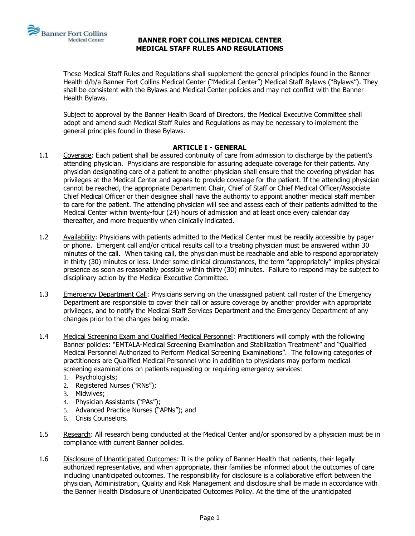

These Medical Staff Rules and Regulations shall supplement the general principles found in the Banner Health d/b/a Banner Fort Collins Medical Center ("Medical Center") Medical Staff Bylaws ("Bylaws"). They shall be consistent with the Bylaws and Medical Center policies and may not conflict with the Banner Health Bylaws.

Subject to approval by the Banner Health Board of Directors, the Medical Executive Committee shall adopt and amend such Medical Staff Rules and Regulations as may be necessary to implement the general principles found in these Bylaws.

#### **ARTICLE I - GENERAL**

- 1.1 Coverage: Each patient shall be assured continuity of care from admission to discharge by the patient's attending physician. Physicians are responsible for assuring adequate coverage for their patients. Any physician designating care of a patient to another physician shall ensure that the covering physician has privileges at the Medical Center and agrees to provide coverage for the patient. If the attending physician cannot be reached, the appropriate Department Chair, Chief of Staff or Chief Medical Officer/Associate Chief Medical Officer or their designee shall have the authority to appoint another medical staff member to care for the patient. The attending physician will see and assess each of their patients admitted to the Medical Center within twenty-four (24) hours of admission and at least once every calendar day thereafter, and more frequently when clinically indicated.
- 1.2 Availability: Physicians with patients admitted to the Medical Center must be readily accessible by pager or phone. Emergent call and/or critical results call to a treating physician must be answered within 30 minutes of the call. When taking call, the physician must be reachable and able to respond appropriately in thirty (30) minutes or less. Under some clinical circumstances, the term "appropriately" implies physical presence as soon as reasonably possible within thirty (30) minutes. Failure to respond may be subject to disciplinary action by the Medical Executive Committee.
- 1.3 Emergency Department Call: Physicians serving on the unassigned patient call roster of the Emergency Department are responsible to cover their call or assure coverage by another provider with appropriate privileges, and to notify the Medical Staff Services Department and the Emergency Department of any changes prior to the changes being made.
- 1.4 Medical Screening Exam and Qualified Medical Personnel: Practitioners will comply with the following Banner policies: "EMTALA-Medical Screening Examination and Stabilization Treatment" and "Qualified Medical Personnel Authorized to Perform Medical Screening Examinations". The following categories of practitioners are Qualified Medical Personnel who in addition to physicians may perform medical screening examinations on patients requesting or requiring emergency services:
	- 1. Psychologists;
	- 2. Registered Nurses ("RNs");
	- 3. Midwives;
	- 4. Physician Assistants ("PAs");
	- 5. Advanced Practice Nurses ("APNs"); and
	- 6. Crisis Counselors.
- 1.5 Research: All research being conducted at the Medical Center and/or sponsored by a physician must be in compliance with current Banner policies.
- 1.6 Disclosure of Unanticipated Outcomes: It is the policy of Banner Health that patients, their legally authorized representative, and when appropriate, their families be informed about the outcomes of care including unanticipated outcomes. The responsibility for disclosure is a collaborative effort between the physician, Administration, Quality and Risk Management and disclosure shall be made in accordance with the Banner Health Disclosure of Unanticipated Outcomes Policy. At the time of the unanticipated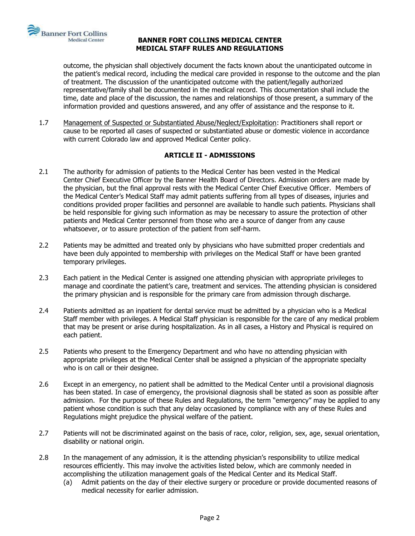

outcome, the physician shall objectively document the facts known about the unanticipated outcome in the patient's medical record, including the medical care provided in response to the outcome and the plan of treatment. The discussion of the unanticipated outcome with the patient/legally authorized representative/family shall be documented in the medical record. This documentation shall include the time, date and place of the discussion, the names and relationships of those present, a summary of the information provided and questions answered, and any offer of assistance and the response to it.

1.7 Management of Suspected or Substantiated Abuse/Neglect/Exploitation: Practitioners shall report or cause to be reported all cases of suspected or substantiated abuse or domestic violence in accordance with current Colorado law and approved Medical Center policy.

# **ARTICLE II - ADMISSIONS**

- 2.1 The authority for admission of patients to the Medical Center has been vested in the Medical Center Chief Executive Officer by the Banner Health Board of Directors. Admission orders are made by the physician, but the final approval rests with the Medical Center Chief Executive Officer. Members of the Medical Center's Medical Staff may admit patients suffering from all types of diseases, injuries and conditions provided proper facilities and personnel are available to handle such patients. Physicians shall be held responsible for giving such information as may be necessary to assure the protection of other patients and Medical Center personnel from those who are a source of danger from any cause whatsoever, or to assure protection of the patient from self-harm.
- 2.2 Patients may be admitted and treated only by physicians who have submitted proper credentials and have been duly appointed to membership with privileges on the Medical Staff or have been granted temporary privileges.
- 2.3 Each patient in the Medical Center is assigned one attending physician with appropriate privileges to manage and coordinate the patient's care, treatment and services. The attending physician is considered the primary physician and is responsible for the primary care from admission through discharge.
- 2.4 Patients admitted as an inpatient for dental service must be admitted by a physician who is a Medical Staff member with privileges. A Medical Staff physician is responsible for the care of any medical problem that may be present or arise during hospitalization. As in all cases, a History and Physical is required on each patient.
- 2.5 Patients who present to the Emergency Department and who have no attending physician with appropriate privileges at the Medical Center shall be assigned a physician of the appropriate specialty who is on call or their designee.
- 2.6 Except in an emergency, no patient shall be admitted to the Medical Center until a provisional diagnosis has been stated. In case of emergency, the provisional diagnosis shall be stated as soon as possible after admission. For the purpose of these Rules and Regulations, the term "emergency" may be applied to any patient whose condition is such that any delay occasioned by compliance with any of these Rules and Regulations might prejudice the physical welfare of the patient.
- 2.7 Patients will not be discriminated against on the basis of race, color, religion, sex, age, sexual orientation, disability or national origin.
- 2.8 In the management of any admission, it is the attending physician's responsibility to utilize medical resources efficiently. This may involve the activities listed below, which are commonly needed in accomplishing the utilization management goals of the Medical Center and its Medical Staff.
	- (a) Admit patients on the day of their elective surgery or procedure or provide documented reasons of medical necessity for earlier admission.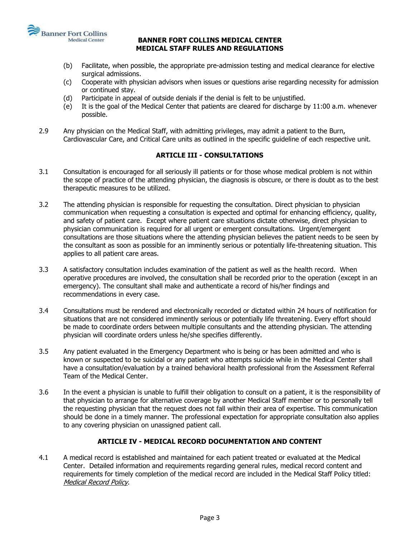

- (b) Facilitate, when possible, the appropriate pre-admission testing and medical clearance for elective surgical admissions.
- (c) Cooperate with physician advisors when issues or questions arise regarding necessity for admission or continued stay.
- (d) Participate in appeal of outside denials if the denial is felt to be unjustified.
- (e) It is the goal of the Medical Center that patients are cleared for discharge by 11:00 a.m. whenever possible.
- 2.9 Any physician on the Medical Staff, with admitting privileges, may admit a patient to the Burn, Cardiovascular Care, and Critical Care units as outlined in the specific guideline of each respective unit.

# **ARTICLE III - CONSULTATIONS**

- 3.1 Consultation is encouraged for all seriously ill patients or for those whose medical problem is not within the scope of practice of the attending physician, the diagnosis is obscure, or there is doubt as to the best therapeutic measures to be utilized.
- 3.2 The attending physician is responsible for requesting the consultation. Direct physician to physician communication when requesting a consultation is expected and optimal for enhancing efficiency, quality, and safety of patient care. Except where patient care situations dictate otherwise, direct physician to physician communication is required for all urgent or emergent consultations. Urgent/emergent consultations are those situations where the attending physician believes the patient needs to be seen by the consultant as soon as possible for an imminently serious or potentially life-threatening situation. This applies to all patient care areas.
- 3.3 A satisfactory consultation includes examination of the patient as well as the health record. When operative procedures are involved, the consultation shall be recorded prior to the operation (except in an emergency). The consultant shall make and authenticate a record of his/her findings and recommendations in every case.
- 3.4 Consultations must be rendered and electronically recorded or dictated within 24 hours of notification for situations that are not considered imminently serious or potentially life threatening. Every effort should be made to coordinate orders between multiple consultants and the attending physician. The attending physician will coordinate orders unless he/she specifies differently.
- 3.5 Any patient evaluated in the Emergency Department who is being or has been admitted and who is known or suspected to be suicidal or any patient who attempts suicide while in the Medical Center shall have a consultation/evaluation by a trained behavioral health professional from the Assessment Referral Team of the Medical Center.
- 3.6 In the event a physician is unable to fulfill their obligation to consult on a patient, it is the responsibility of that physician to arrange for alternative coverage by another Medical Staff member or to personally tell the requesting physician that the request does not fall within their area of expertise. This communication should be done in a timely manner. The professional expectation for appropriate consultation also applies to any covering physician on unassigned patient call.

# **ARTICLE IV - MEDICAL RECORD DOCUMENTATION AND CONTENT**

4.1 A medical record is established and maintained for each patient treated or evaluated at the Medical Center. Detailed information and requirements regarding general rules, medical record content and requirements for timely completion of the medical record are included in the Medical Staff Policy titled: Medical Record Policy.